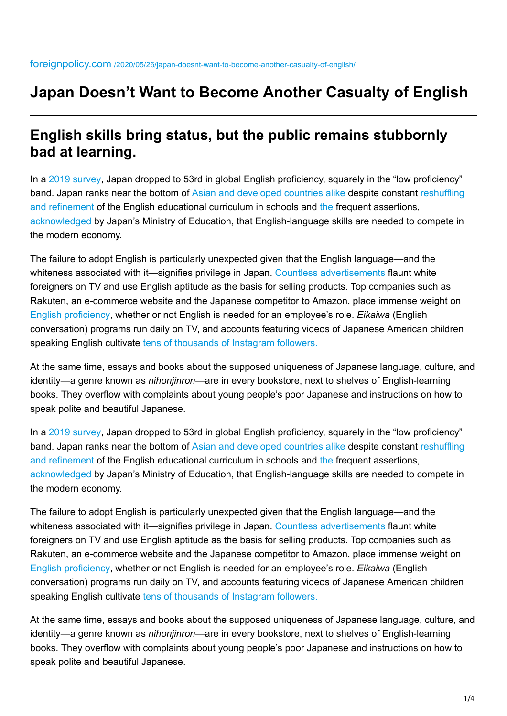## **Japan Doesn't Want to Become Another Casualty of English**

## **English skills bring status, but the public remains stubbornly bad at learning.**

In a [2019 survey,](https://www.ef.com/wwen/epi/) Japan dropped to 53rd in global English proficiency, squarely in the "low proficiency" [band. Japan ranks near the bottom of Asian and developed countries alike despite constant reshuffling](https://www.nippon.com/en/currents/d00412/chronic-reforms-and-the-crisis-in-english-education.html) and refinement of the English educational curriculum in schools and [the f](https://www.mext.go.jp/b_menu/shingi/chousa/shotou/102/houkoku/attach/1352464.htm)requent assertions, [acknowledged](https://www.mext.go.jp/b_menu/shingi/chousa/shotou/102/houkoku/attach/1352464.htm) by Japan's Ministry of Education, that English-language skills are needed to compete in the modern economy.

The failure to adopt English is particularly unexpected given that the English language—and the whiteness associated with it—signifies privilege in Japan. [Countless advertisements](https://web.uri.edu/iaics/files/08-Koji-Akiyama.pdf) flaunt white foreigners on TV and use English aptitude as the basis for selling products. Top companies such as Rakuten, an e-commerce website and the Japanese competitor to Amazon, place immense weight on [English proficiency](https://www.japantimes.co.jp/news/2018/11/07/national/rakutens-english-drive-case-study-success-wider-adoption-japan-inc-much-slower-going/#.Xp0v6xMzbdQ), whether or not English is needed for an employee's role. *Eikaiwa* (English conversation) programs run daily on TV, and accounts featuring videos of Japanese American children speaking English cultivate [tens of thousands of Instagram followers.](https://www.instagram.com/yucgram/?igshid=lht6cj51ey9o&fbclid=IwAR0dn8emedAZNY2CziBphP4ZEC9_B03iCxnreMrlsXrcxtlX8X4ccZKXYys)

At the same time, essays and books about the supposed uniqueness of Japanese language, culture, and identity—a genre known as *nihonjinron*—are in every bookstore, next to shelves of English-learning books. They overflow with complaints about young people's poor Japanese and instructions on how to speak polite and beautiful Japanese.

In a [2019 survey,](https://www.ef.com/wwen/epi/) Japan dropped to 53rd in global English proficiency, squarely in the "low proficiency" [band. Japan ranks near the bottom of](https://www.nippon.com/en/currents/d00412/chronic-reforms-and-the-crisis-in-english-education.html) [Asian and developed countries alike](https://www.nippon.com/en/japan-data/h00594/japan%E2%80%99s-english-proficiency-drops-among-non-english-speaking-countries.html) [despite constant reshuffling](https://www.nippon.com/en/currents/d00412/chronic-reforms-and-the-crisis-in-english-education.html) and refinement of the English educational curriculum in schools and [the f](https://www.mext.go.jp/b_menu/shingi/chousa/shotou/102/houkoku/attach/1352464.htm)requent assertions, [acknowledged](https://www.mext.go.jp/b_menu/shingi/chousa/shotou/102/houkoku/attach/1352464.htm) by Japan's Ministry of Education, that English-language skills are needed to compete in the modern economy.

The failure to adopt English is particularly unexpected given that the English language—and the whiteness associated with it—signifies privilege in Japan. [Countless advertisements](https://web.uri.edu/iaics/files/08-Koji-Akiyama.pdf) flaunt white foreigners on TV and use English aptitude as the basis for selling products. Top companies such as Rakuten, an e-commerce website and the Japanese competitor to Amazon, place immense weight on [English proficiency](https://www.japantimes.co.jp/news/2018/11/07/national/rakutens-english-drive-case-study-success-wider-adoption-japan-inc-much-slower-going/#.Xp0v6xMzbdQ), whether or not English is needed for an employee's role. *Eikaiwa* (English conversation) programs run daily on TV, and accounts featuring videos of Japanese American children speaking English cultivate [tens of thousands of Instagram followers.](https://www.instagram.com/yucgram/?igshid=lht6cj51ey9o&fbclid=IwAR0dn8emedAZNY2CziBphP4ZEC9_B03iCxnreMrlsXrcxtlX8X4ccZKXYys)

At the same time, essays and books about the supposed uniqueness of Japanese language, culture, and identity—a genre known as *nihonjinron*—are in every bookstore, next to shelves of English-learning books. They overflow with complaints about young people's poor Japanese and instructions on how to speak polite and beautiful Japanese.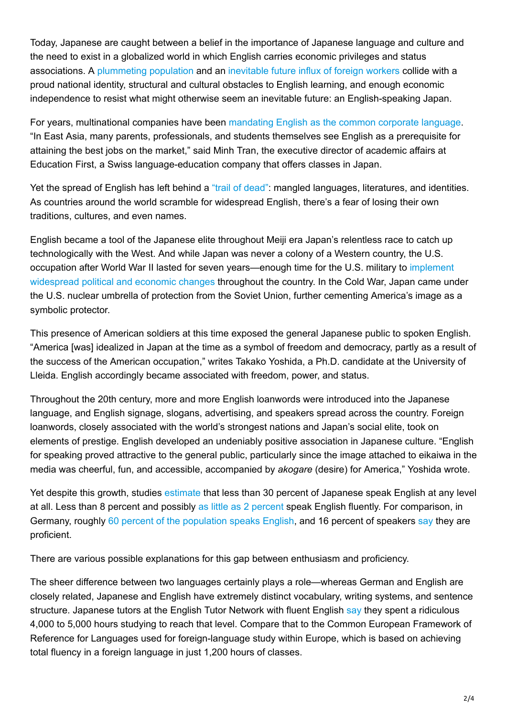Today, Japanese are caught between a belief in the importance of Japanese language and culture and the need to exist in a globalized world in which English carries economic privileges and status associations. A [plummeting population](https://asia.nikkei.com/Spotlight/Society/Japan-s-population-shrinks-at-record-rate-losing-276-000-people) and an [inevitable future influx of foreign workers](https://foreignpolicy.com/2017/03/01/japan-prefers-robot-bears-to-foreign-nurses/) collide with a proud national identity, structural and cultural obstacles to English learning, and enough economic independence to resist what might otherwise seem an inevitable future: an English-speaking Japan.

For years, multinational companies have been [mandating English as the common corporate language.](https://hbr.org/2012/05/global-business-speaks-english) "In East Asia, many parents, professionals, and students themselves see English as a prerequisite for attaining the best jobs on the market," said Minh Tran, the executive director of academic affairs at Education First, a Swiss language-education company that offers classes in Japan.

Yet the spread of English has left behind a ["trail of dead"](https://www.theguardian.com/news/2018/jul/27/english-language-global-dominance): mangled languages, literatures, and identities. As countries around the world scramble for widespread English, there's a fear of losing their own traditions, cultures, and even names.

English became a tool of the Japanese elite throughout Meiji era Japan's relentless race to catch up technologically with the West. And while Japan was never a colony of a Western country, the U.S. occupation after World War II lasted for seven years—enough time for the U.S. military to implement [widespread political and economic changes throughout the country. In the Cold War, Japan came und](https://history.state.gov/milestones/1945-1952/japan-reconstruction)er the U.S. nuclear umbrella of protection from the Soviet Union, further cementing America's image as a symbolic protector.

This presence of American soldiers at this time exposed the general Japanese public to spoken English. "America [was] idealized in Japan at the time as a symbol of freedom and democracy, partly as a result of the success of the American occupation," writes Takako Yoshida, a Ph.D. candidate at the University of Lleida. English accordingly became associated with freedom, power, and status.

Throughout the 20th century, more and more English loanwords were introduced into the Japanese language, and English signage, slogans, advertising, and speakers spread across the country. Foreign loanwords, closely associated with the world's strongest nations and Japan's social elite, took on elements of prestige. English developed an undeniably positive association in Japanese culture. "English for speaking proved attractive to the general public, particularly since the image attached to eikaiwa in the media was cheerful, fun, and accessible, accompanied by *akogare* (desire) for America," Yoshida wrote.

Yet despite this growth, studies [estimate](https://www.mitsue.co.jp/english/global_ux/blog/201709/14_1700.html) that less than 30 percent of Japanese speak English at any level at all. Less than 8 percent and possibly [as little as 2 percent](https://juken.oricon.co.jp/rank_english/special/2018/survey/) speak English fluently. For comparison, in Germany, roughly [60 percent of the population speaks English](https://howwidelyspoken.com/how-widely-spoken-english-germany/), and 16 percent of speakers [say](https://www.thelocal.de/20130926/52117) they are proficient.

There are various possible explanations for this gap between enthusiasm and proficiency.

The sheer difference between two languages certainly plays a role—whereas German and English are closely related, Japanese and English have extremely distinct vocabulary, writing systems, and sentence structure. Japanese tutors at the English Tutor Network with fluent English [say](https://www.japantimes.co.jp/opinion/2017/10/29/commentary/japan-commentary/japanese-trouble-learning-english/#.XpZZ8RMzbdQ) they spent a ridiculous 4,000 to 5,000 hours studying to reach that level. Compare that to the Common European Framework of Reference for Languages used for foreign-language study within Europe, which is based on achieving total fluency in a foreign language in just 1,200 hours of classes.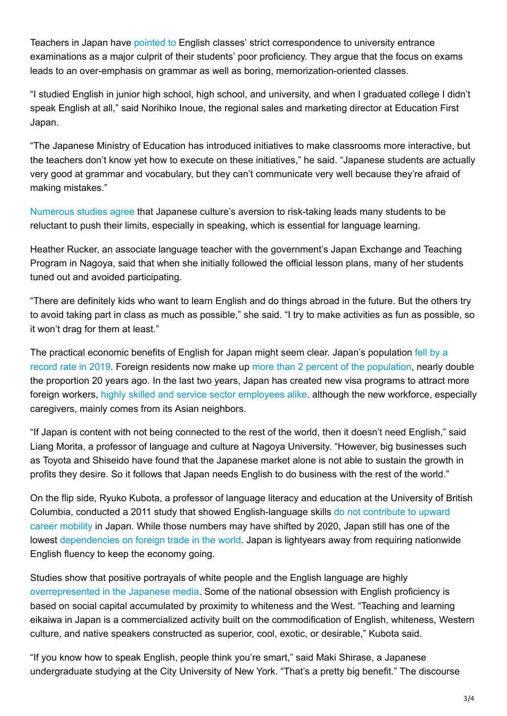Teachers in Japan have [pointed to](http://web.iec.ehime-u.ac.jp/reinelt/raineruto1/02RD2.pdf) English classes' strict correspondence to university entrance examinations as a major culprit of their students' poor proficiency. They argue that the focus on exams leads to an over-emphasis on grammar as well as boring, memorization-oriented classes.

"I studied English in junior high school, high school, and university, and when I graduated college I didn't speak English at all," said Norihiko Inoue, the regional sales and marketing director at Education First Japan.

"The Japanese Ministry of Education has introduced initiatives to make classrooms more interactive, but the teachers don't know yet how to execute on these initiatives," he said. "Japanese students are actually very good at grammar and vocabulary, but they can't communicate very well because they're afraid of making mistakes."

[Numerous studies agree](https://www.researchgate.net/publication/304647748_The_Ideal_Speaker_of_Japanese_English_as_Portrayed_in_) that Japanese culture's aversion to risk-taking leads many students to be reluctant to push their limits, especially in speaking, which is essential for language learning.

Heather Rucker, an associate language teacher with the government's Japan Exchange and Teaching Program in Nagoya, said that when she initially followed the official lesson plans, many of her students tuned out and avoided participating.

"There are definitely kids who want to learn English and do things abroad in the future. But the others try to avoid taking part in class as much as possible," she said. "I try to make activities as fun as possible, so it won't drag for them at least."

[The practical economic benefits of English for Japan might seem clear. Japan's population fell by a](https://asia.nikkei.com/Spotlight/Society/Japan-s-population-shrinks-at-record-rate-losing-276-000-people) record rate in 2019. Foreign residents now make up [more than 2 percent of the population](https://www.stat.go.jp/data/nihon/02.html), nearly double the proportion 20 years ago. In the last two years, Japan has created new visa programs to attract more foreign workers, [highly skilled and service sector employees alike,](https://www.japantimes.co.jp/news/2019/03/31/national/foreign-workers-way-japanese-businesses-ready/#.Xp5-2RMzbdQ) although the new workforce, especially caregivers, mainly comes from its Asian neighbors.

"If Japan is content with not being connected to the rest of the world, then it doesn't need English," said Liang Morita, a professor of language and culture at Nagoya University. "However, big businesses such as Toyota and Shiseido have found that the Japanese market alone is not able to sustain the growth in profits they desire. So it follows that Japan needs English to do business with the rest of the world."

On the flip side, Ryuko Kubota, a professor of language literacy and education at the University of British [Columbia, conducted a 2011 study that showed English-language skills do not contribute to upward](https://www.researchgate.net/publication/251603469_Questioning_Linguistic_Instrumentalism_English_Neoliberalism_and_Language_Tests_in_Japan) career mobility in Japan. While those numbers may have shifted by 2020, Japan still has one of the lowest [dependencies on foreign trade in the world](https://data.worldbank.org/indicator/NE.EXP.GNFS.ZS?name_desc=false). Japan is lightyears away from requiring nationwide English fluency to keep the economy going.

Studies show that positive portrayals of white people and the English language are highly [overrepresented in the Japanese media.](http://repository.seinan-gu.ac.jp/bitstream/handle/123456789/296/eg-n52v3-p71-94-tor.pdf?sequence=1&isAllowed=y) Some of the national obsession with English proficiency is based on social capital accumulated by proximity to whiteness and the West. "Teaching and learning eikaiwa in Japan is a commercialized activity built on the commodification of English, whiteness, Western culture, and native speakers constructed as superior, cool, exotic, or desirable," Kubota said.

"If you know how to speak English, people think you're smart," said Maki Shirase, a Japanese undergraduate studying at the City University of New York. "That's a pretty big benefit." The discourse